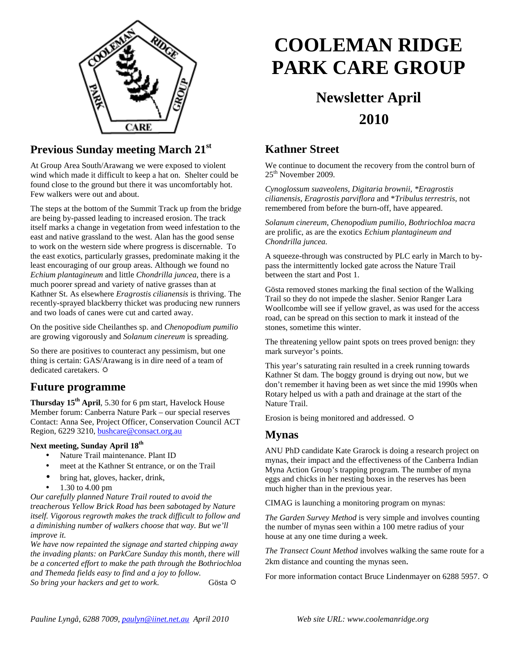

## **Previous Sunday meeting March 21st**

At Group Area South/Arawang we were exposed to violent wind which made it difficult to keep a hat on. Shelter could be found close to the ground but there it was uncomfortably hot. Few walkers were out and about.

The steps at the bottom of the Summit Track up from the bridge are being by-passed leading to increased erosion. The track itself marks a change in vegetation from weed infestation to the east and native grassland to the west. Alan has the good sense to work on the western side where progress is discernable. To the east exotics, particularly grasses, predominate making it the least encouraging of our group areas. Although we found no *Echium plantagineum* and little *Chondrilla juncea*, there is a much poorer spread and variety of native grasses than at Kathner St. As elsewhere *Eragrostis cilianensis* is thriving. The recently-sprayed blackberry thicket was producing new runners and two loads of canes were cut and carted away.

On the positive side Cheilanthes sp. and *Chenopodium pumilio* are growing vigorously and *Solanum cinereum* is spreading.

So there are positives to counteract any pessimism, but one thing is certain: GAS/Arawang is in dire need of a team of dedicated caretakers.

### **Future programme**

**Thursday 15th April**, 5.30 for 6 pm start, Havelock House Member forum: Canberra Nature Park – our special reserves Contact: Anna See, Project Officer, Conservation Council ACT Region, 6229 3210, **bushcare@consact.org.au** 

#### **Next meeting, Sunday April 18th**

- Nature Trail maintenance. Plant ID
- meet at the Kathner St entrance, or on the Trail
- bring hat, gloves, hacker, drink,
- 1.30 to 4.00 pm

*Our carefully planned Nature Trail routed to avoid the treacherous Yellow Brick Road has been sabotaged by Nature itself. Vigorous regrowth makes the track difficult to follow and a diminishing number of walkers choose that way. But we'll improve it.* 

*We have now repainted the signage and started chipping away the invading plants: on ParkCare Sunday this month, there will be a concerted effort to make the path through the Bothriochloa and Themeda fields easy to find and a joy to follow. So bring your hackers and get to work*. Gösta

# **COOLEMAN RIDGE PARK CARE GROUP**

# **Newsletter April 2010**

### **Kathner Street**

We continue to document the recovery from the control burn of 25th November 2009.

*Cynoglossum suaveolens, Digitaria brownii, \*Eragrostis cilianensis, Eragrostis parviflora* and \**Tribulus terrestris*, not remembered from before the burn-off, have appeared.

*Solanum cinereum, Chenopodium pumilio, Bothriochloa macra* are prolific, as are the exotics *Echium plantagineum and Chondrilla juncea.* 

A squeeze-through was constructed by PLC early in March to bypass the intermittently locked gate across the Nature Trail between the start and Post 1.

Gösta removed stones marking the final section of the Walking Trail so they do not impede the slasher. Senior Ranger Lara Woollcombe will see if yellow gravel, as was used for the access road, can be spread on this section to mark it instead of the stones, sometime this winter.

The threatening yellow paint spots on trees proved benign: they mark surveyor's points.

This year's saturating rain resulted in a creek running towards Kathner St dam. The boggy ground is drying out now, but we don't remember it having been as wet since the mid 1990s when Rotary helped us with a path and drainage at the start of the Nature Trail.

Erosion is being monitored and addressed.  $\ddot{\varphi}$ 

#### **Mynas**

ANU PhD candidate Kate Grarock is doing a research project on mynas, their impact and the effectiveness of the Canberra Indian Myna Action Group's trapping program. The number of myna eggs and chicks in her nesting boxes in the reserves has been much higher than in the previous year.

CIMAG is launching a monitoring program on mynas:

*The Garden Survey Method* is very simple and involves counting the number of mynas seen within a 100 metre radius of your house at any one time during a week.

*The Transect Count Method* involves walking the same route for a 2km distance and counting the mynas seen.

For more information contact Bruce Lindenmayer on 6288 5957.